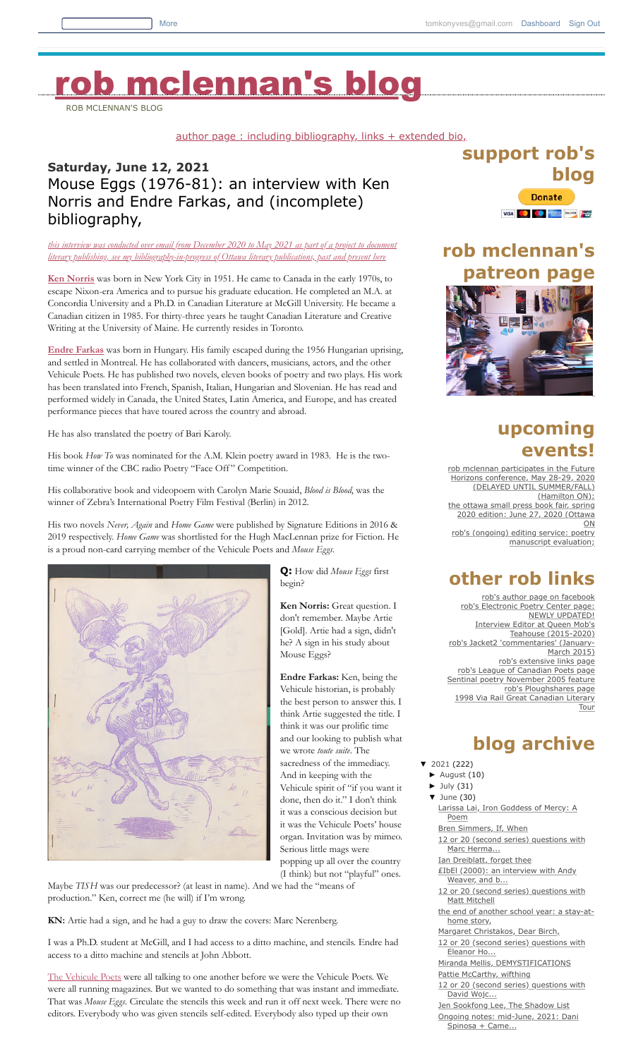# b [mclennan's](http://robmclennan.blogspot.com/) blog

ROB MCLENNAN'S BLOG

[author page : including bibliography, links + extended bio,](http://robmclennanauthor.blogspot.ca/)

### **Saturday, June 12, 2021** Mouse Eggs (1976-81): an interview with Ken Norris and Endre Farkas, and (incomplete) bibliography,

*[this interview was conducted over email from December 2020 to May 2021 as part of a project to document](http://robmclennansindex.blogspot.com/2017/08/bibliography-of-canadian-literary.html) literary publishing. see my bibliography-in-progress of Ottawa literary publications, past and present here*

**[Ken Norris](https://www.vehiculepoets.com/ken-norris)** was born in New York City in 1951. He came to Canada in the early 1970s, to escape Nixon-era America and to pursue his graduate education. He completed an M.A. at Concordia University and a Ph.D. in Canadian Literature at McGill University. He became a Canadian citizen in 1985. For thirty-three years he taught Canadian Literature and Creative Writing at the University of Maine. He currently resides in Toronto.

**[Endre Farkas](https://www.endrefarkas.net/)** was born in Hungary. His family escaped during the 1956 Hungarian uprising, and settled in Montreal. He has collaborated with dancers, musicians, actors, and the other Vehicule Poets. He has published two novels, eleven books of poetry and two plays. His work has been translated into French, Spanish, Italian, Hungarian and Slovenian. He has read and performed widely in Canada, the United States, Latin America, and Europe, and has created performance pieces that have toured across the country and abroad.

He has also translated the poetry of Bari Karoly.

His book *How To* was nominated for the A.M. Klein poetry award in 1983. He is the twotime winner of the CBC radio Poetry "Face Off" Competition.

His collaborative book and videopoem with Carolyn Marie Souaid, *Blood is Blood*, was the winner of Zebra's International Poetry Film Festival (Berlin) in 2012.

His two novels *Never, Again* and *Home Game* were published by Signature Editions in 2016 & 2019 respectively. *Home Game* was shortlisted for the Hugh MacLennan prize for Fiction. He is a proud non-card carrying member of the Vehicule Poets and *Mouse Eggs*.



**Q:** How did *Mouse Eggs* first begin?

**Ken Norris:** Great question. I don't remember. Maybe Artie [Gold]. Artie had a sign, didn't he? A sign in his study about Mouse Eggs?

**Endre Farkas:** Ken, being the Vehicule historian, is probably the best person to answer this. I think Artie suggested the title. I think it was our prolific time and our looking to publish what we wrote *toute suite*. The sacredness of the immediacy. And in keeping with the Vehicule spirit of "if you want it done, then do it." I don't think it was a conscious decision but it was the Vehicule Poets' house organ. Invitation was by mimeo. Serious little mags were popping up all over the country

(I think) but not "playful" ones. Maybe *TISH* was our predecessor? (at least in name). And we had the "means of

production." Ken, correct me (he will) if I'm wrong.

**KN:** Artie had a sign, and he had a guy to draw the covers: Marc Nerenberg.

I was a Ph.D. student at McGill, and I had access to a ditto machine, and stencils. Endre had access to a ditto machine and stencils at John Abbott.

[The Vehicule Poets](https://www.vehiculepoets.com/) were all talking to one another before we were the Vehicule Poets. We were all running magazines. But we wanted to do something that was instant and immediate. That was *Mouse Eggs*. Circulate the stencils this week and run it off next week. There were no editors. Everybody who was given stencils self-edited. Everybody also typed up their own

### **support rob's blog Donate**

# **rob mclennan's patreon page**



### **upcoming events!**

manuscript evaluation;

[rob mclennan participates in the Future](http://futurehorizons.ca/conference-program/) Horizons conference, May 28-29, 2020 (DELAYED UNTIL SUMMER/FALL) (Hamilton ON); [the ottawa small press book fair, spring](http://smallpressbookfair.blogspot.com/2020/01/the-ottawa-small-press-book-fair-spring.html) 2020 edition: June 27, 2020 (Ottawa ON [rob's \(ongoing\) editing service: poetry](http://robmclennanauthor.blogspot.ca/2017/04/workshops-manuscript-poetry-evaluation.html)

**other rob links**

[rob's author page on facebook](https://www.facebook.com/pages/rob-mclennan/120022808026286) [rob's Electronic Poetry Center page:](http://epc.buffalo.edu/authors/mclennan/) NEWLY UPDATED! [Interview Editor at Queen Mob's](http://queenmobs.com/contributors/rmclennan/) Teahouse (2015-2020) [rob's Jacket2 'commentaries' \(January-](http://jacket2.org/commentary/rob-mclennan)March 2015) [rob's extensive links page](http://www.track0.com/rob_mclennan/links_page.htm) [rob's League of Canadian Poets page](http://poets.ca/join/directory/) [Sentinal poetry November 2005 feature](http://www.sentinelpoetry.org.uk/magonline1105/) [rob's Ploughshares page](http://www.pshares.org/authors/authordetails.cfm?prmauthoriD=6722) [1998 Via Rail Great Canadian Literary](http://writersfest.com/oldsite/tour/index.html) Tour

## **blog archive**

#### [▼](javascript:void(0)) [2021](http://robmclennan.blogspot.com/2021/) (222)

- [►](javascript:void(0)) [August](http://robmclennan.blogspot.com/2021/08/) (10)
- [►](javascript:void(0)) [July](http://robmclennan.blogspot.com/2021/07/) (31)
- [June](http://robmclennan.blogspot.com/2021/06/) (30) [Larissa Lai, Iron Goddess of Mercy: A](http://robmclennan.blogspot.com/2021/06/larissa-lai-iron-goddess-of-mercy-poem.html) Poem
- [Bren Simmers, If, When](http://robmclennan.blogspot.com/2021/06/bren-simmers-if-when.html)
- [12 or 20 \(second series\) questions with](http://robmclennan.blogspot.com/2021/06/12-or-20-second-series-questions-with_02098856192.html) Marc Herma...
- [Ian Dreiblatt, forget thee](http://robmclennan.blogspot.com/2021/06/ian-dreiblatt-forget-thee.html)
- [₤IbEl \(2000\): an interview with Andy](http://robmclennan.blogspot.com/2021/06/ibel-2000-interview-with-andy-weaver.html)
- Weaver, and b... [12 or 20 \(second series\) questions with](http://robmclennan.blogspot.com/2021/06/12-or-20-second-series-questions-with_0166941925.html)
- Matt Mitchell
- [the end of another school year: a stay-at](http://robmclennan.blogspot.com/2021/06/the-end-of-another-school-year-stay-at.html)home story,
- [Margaret Christakos, Dear Birch,](http://robmclennan.blogspot.com/2021/06/margaret-christakos-dear-birch.html) [12 or 20 \(second series\) questions with](http://robmclennan.blogspot.com/2021/06/12-or-20-second-series-questions-with_02037930559.html)
- Eleanor Ho... [Miranda Mellis, DEMYSTIFICATIONS](http://robmclennan.blogspot.com/2021/06/miranda-mellis-demystifications.html)
- [Pattie McCarthy, wifthing](http://robmclennan.blogspot.com/2021/06/pattie-mccarthy-wifthing.html)
- [12 or 20 \(second series\) questions with](http://robmclennan.blogspot.com/2021/06/12-or-20-second-series-questions-with_01604079257.html) David Wojc...
- [Jen Sookfong Lee, The Shadow List](http://robmclennan.blogspot.com/2021/06/jen-sookfong-lee-shadow-list.html)
- [Ongoing notes: mid-June, 2021: Dani](http://robmclennan.blogspot.com/2021/06/ongoing-notes-mid-june-2021-dani.html) Spinosa + Came...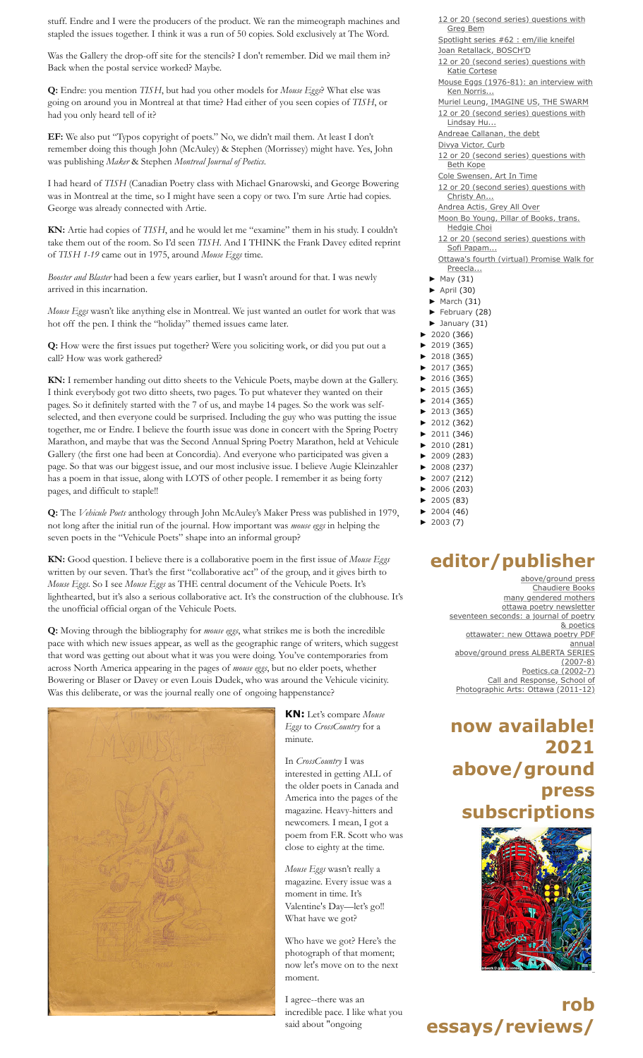stuff. Endre and I were the producers of the product. We ran the mimeograph machines and stapled the issues together. I think it was a run of 50 copies. Sold exclusively at The Word.

Was the Gallery the drop-off site for the stencils? I don't remember. Did we mail them in? Back when the postal service worked? Maybe.

**Q:** Endre: you mention *TISH*, but had you other models for *Mouse Eggs*? What else was going on around you in Montreal at that time? Had either of you seen copies of *TISH*, or had you only heard tell of it?

**EF:** We also put "Typos copyright of poets." No, we didn't mail them. At least I don't remember doing this though John (McAuley) & Stephen (Morrissey) might have. Yes, John was publishing *Maker* & Stephen *Montreal Journal of Poetics*.

I had heard of *TISH* (Canadian Poetry class with Michael Gnarowski, and George Bowering was in Montreal at the time, so I might have seen a copy or two. I'm sure Artie had copies. George was already connected with Artie.

**KN:** Artie had copies of *TISH*, and he would let me "examine" them in his study. I couldn't take them out of the room. So I'd seen *TISH*. And I THINK the Frank Davey edited reprint of *TISH 1-19* came out in 1975, around *Mouse Eggs* time.

*Booster and Blaster* had been a few years earlier, but I wasn't around for that. I was newly arrived in this incarnation.

*Mouse Eggs* wasn't like anything else in Montreal. We just wanted an outlet for work that was hot off the pen. I think the "holiday" themed issues came later.

**Q:** How were the first issues put together? Were you soliciting work, or did you put out a call? How was work gathered?

**KN:** I remember handing out ditto sheets to the Vehicule Poets, maybe down at the Gallery. I think everybody got two ditto sheets, two pages. To put whatever they wanted on their pages. So it definitely started with the 7 of us, and maybe 14 pages. So the work was selfselected, and then everyone could be surprised. Including the guy who was putting the issue together, me or Endre. I believe the fourth issue was done in concert with the Spring Poetry Marathon, and maybe that was the Second Annual Spring Poetry Marathon, held at Vehicule Gallery (the first one had been at Concordia). And everyone who participated was given a page. So that was our biggest issue, and our most inclusive issue. I believe Augie Kleinzahler has a poem in that issue, along with LOTS of other people. I remember it as being forty pages, and difficult to staple!!

**Q:** The *Vehicule Poets* anthology through John McAuley's Maker Press was published in 1979, not long after the initial run of the journal. How important was *mouse eggs* in helping the seven poets in the "Vehicule Poets" shape into an informal group?

**KN:** Good question. I believe there is a collaborative poem in the first issue of *Mouse Eggs* written by our seven. That's the first "collaborative act" of the group, and it gives birth to *Mouse Eggs*. So I see *Mouse Eggs* as THE central document of the Vehicule Poets. It's lighthearted, but it's also a serious collaborative act. It's the construction of the clubhouse. It's the unofficial official organ of the Vehicule Poets.

**Q:** Moving through the bibliography for *mouse eggs*, what strikes me is both the incredible pace with which new issues appear, as well as the geographic range of writers, which suggest that word was getting out about what it was you were doing. You've contemporaries from across North America appearing in the pages of *mouse eggs*, but no elder poets, whether Bowering or Blaser or Davey or even Louis Dudek, who was around the Vehicule vicinity. Was this deliberate, or was the journal really one of ongoing happenstance?



**KN:** Let's compare *Mouse Eggs* to *CrossCountry* for a minute.

In *CrossCountry* I was interested in getting ALL of the older poets in Canada and America into the pages of the magazine. Heavy-hitters and newcomers. I mean, I got a poem from F.R. Scott who was close to eighty at the time.

*Mouse Eggs* wasn't really a magazine. Every issue was a moment in time. It's Valentine's Day—let's go!! What have we got?

Who have we got? Here's the photograph of that moment; now let's move on to the next moment.

I agree--there was an incredible pace. I like what you said about "ongoing

[12 or 20 \(second series\) questions with](http://robmclennan.blogspot.com/2021/06/12-or-20-second-series-questions-with_01583948661.html) Greg Bem [Spotlight series #62 : em/ilie kneifel](http://robmclennan.blogspot.com/2021/06/spotlight-series-62-emilie-kneifel.html) [Joan Retallack, BOSCH'D](http://robmclennan.blogspot.com/2021/06/joan-retallack-boschd.html) [12 or 20 \(second series\) questions with](http://robmclennan.blogspot.com/2021/06/12-or-20-second-series-questions-with_0204903753.html) Katie Cortese [Mouse Eggs \(1976-81\): an interview with](http://robmclennan.blogspot.com/2021/06/mouse-eggs-1976-80-interview-with-ken.html) Ken Norris... [Muriel Leung, IMAGINE US, THE SWARM](http://robmclennan.blogspot.com/2021/06/muriel-leung-imagine-us-swarm.html) [12 or 20 \(second series\) questions with](http://robmclennan.blogspot.com/2021/06/12-or-20-second-series-questions-with_01919887925.html) Lindsay Hu... [Andreae Callanan, the debt](http://robmclennan.blogspot.com/2021/06/andreae-callanan-debt.html) [Divya Victor, Curb](http://robmclennan.blogspot.com/2021/06/divya-victor-curb.html) [12 or 20 \(second series\) questions with](http://robmclennan.blogspot.com/2021/06/12-or-20-second-series-questions-with_01323281324.html) Beth Kope [Cole Swensen, Art In Time](http://robmclennan.blogspot.com/2021/06/cole-swensen-art-in-time.html) [12 or 20 \(second series\) questions with](http://robmclennan.blogspot.com/2021/06/12-or-20-second-series-questions-with_0824560057.html) Christy An... [Andrea Actis, Grey All Over](http://robmclennan.blogspot.com/2021/06/andrea-actis-grey-all-over.html) [Moon Bo Young, Pillar of Books, trans.](http://robmclennan.blogspot.com/2021/06/moon-bo-young-pillar-of-books-trans.html) Hedgie Choi [12 or 20 \(second series\) questions with](http://robmclennan.blogspot.com/2021/06/12-or-20-second-series-questions-with.html) Sofi Papam... [Ottawa's fourth \(virtual\) Promise Walk for](http://robmclennan.blogspot.com/2021/05/ottawas-fourth-virtual-promise-walk-for.html) Preecla... [May](http://robmclennan.blogspot.com/2021/05/) (31) [►](javascript:void(0)) [April](http://robmclennan.blogspot.com/2021/04/) (30)  $\blacktriangleright$  [March](http://robmclennan.blogspot.com/2021/03/) (31) [►](javascript:void(0)) [February](http://robmclennan.blogspot.com/2021/02/) (28)  $\blacktriangleright$  [January](http://robmclennan.blogspot.com/2021/01/) (31) [►](javascript:void(0)) [2020](http://robmclennan.blogspot.com/2020/) (366) [►](javascript:void(0)) [2019](http://robmclennan.blogspot.com/2019/) (365) [►](javascript:void(0)) [2018](http://robmclennan.blogspot.com/2018/) (365) [►](javascript:void(0)) [2017](http://robmclennan.blogspot.com/2017/) (365) [►](javascript:void(0)) [2016](http://robmclennan.blogspot.com/2016/) (365) [►](javascript:void(0)) [2015](http://robmclennan.blogspot.com/2015/) (365) [►](javascript:void(0)) [2014](http://robmclennan.blogspot.com/2014/) (365) [►](javascript:void(0)) [2013](http://robmclennan.blogspot.com/2013/) (365) [►](javascript:void(0)) [2012](http://robmclennan.blogspot.com/2012/) (362) [►](javascript:void(0)) [2011](http://robmclennan.blogspot.com/2011/) (346) [►](javascript:void(0)) [2010](http://robmclennan.blogspot.com/2010/) (281) [►](javascript:void(0)) [2009](http://robmclennan.blogspot.com/2009/) (283) [►](javascript:void(0)) [2008](http://robmclennan.blogspot.com/2008/) (237) [►](javascript:void(0)) [2007](http://robmclennan.blogspot.com/2007/) (212) [►](javascript:void(0)) [2006](http://robmclennan.blogspot.com/2006/) (203)

### **editor/publisher**

[►](javascript:void(0)) [2005](http://robmclennan.blogspot.com/2005/) (83) [►](javascript:void(0)) [2004](http://robmclennan.blogspot.com/2004/) (46)  $\blacktriangleright$  [2003](http://robmclennan.blogspot.com/2003/) (7)

> [above/ground press](http://abovegroundpress.blogspot.com/) [Chaudiere Books](http://www.chaudierebooks.com/) [many gendered mothers](http://themanygenderedmothers.blogspot.ca/) [ottawa poetry newsletter](http://www.ottawapoetry.blogspot.com/) [seventeen seconds: a journal of poetry](http://www.ottawater.com/seventeenseconds/) & poetics [ottawater: new Ottawa poetry PDF](http://www.ottawater.com/) annual [above/ground press ALBERTA SERIES](http://www.ottawater.com/albertaseries/albertaseries.html) (2007-8) [Poetics.ca \(2002-7\)](http://wordsters.net/poetics/) Call and Response, School of [Photographic Arts: Ottawa \(2011-12\)](http://www.spao.ca/projects/callandresponse.html#callandresponse)

### **now available! 2021 above/ground press subscriptions**



**rob essays/reviews/**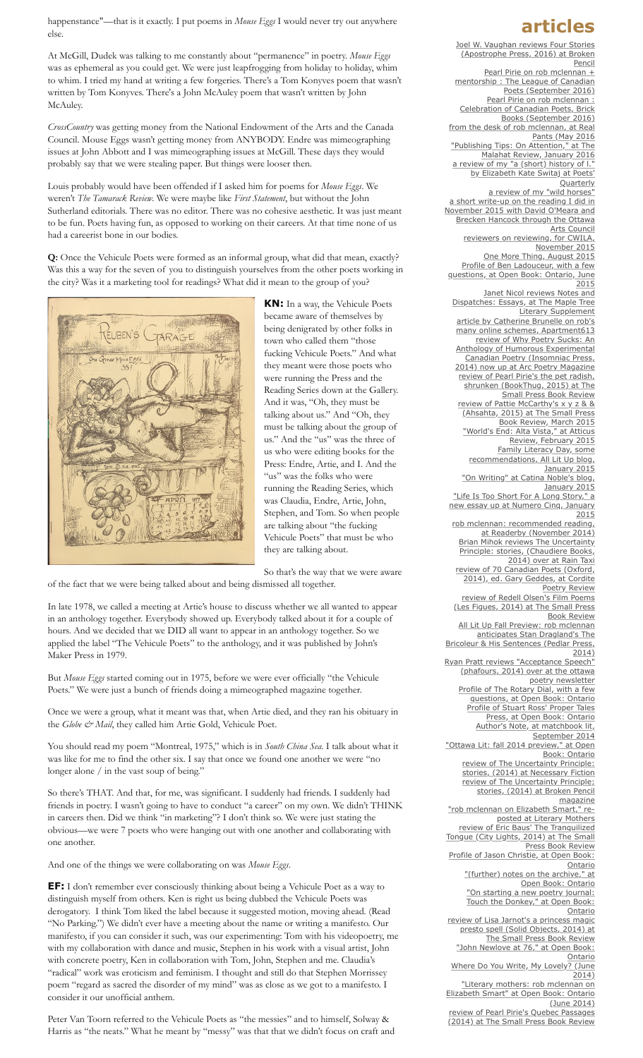happenstance"—that is it exactly. I put poems in *Mouse Eggs* I would never try out anywhere else.

At McGill, Dudek was talking to me constantly about "permanence" in poetry. *Mouse Eggs* was as ephemeral as you could get. We were just leapfrogging from holiday to holiday, whim to whim. I tried my hand at writing a few forgeries. There's a Tom Konyves poem that wasn't written by Tom Konyves. There's a John McAuley poem that wasn't written by John McAuley.

*CrossCountry* was getting money from the National Endowment of the Arts and the Canada Council. Mouse Eggs wasn't getting money from ANYBODY. Endre was mimeographing issues at John Abbott and I was mimeographing issues at McGill. These days they would probably say that we were stealing paper. But things were looser then.

Louis probably would have been offended if I asked him for poems for *Mouse Eggs*. We weren't *The Tamarack Review*. We were maybe like *First Statement*, but without the John Sutherland editorials. There was no editor. There was no cohesive aesthetic. It was just meant to be fun. Poets having fun, as opposed to working on their careers. At that time none of us had a careerist bone in our bodies.

**Q:** Once the Vehicule Poets were formed as an informal group, what did that mean, exactly? Was this a way for the seven of you to distinguish yourselves from the other poets working in the city? Was it a marketing tool for readings? What did it mean to the group of you?



**KN:** In a way, the Vehicule Poets became aware of themselves by being denigrated by other folks in town who called them "those fucking Vehicule Poets." And what they meant were those poets who were running the Press and the Reading Series down at the Gallery. And it was, "Oh, they must be talking about us." And "Oh, they must be talking about the group of us." And the "us" was the three of us who were editing books for the Press: Endre, Artie, and I. And the "us" was the folks who were running the Reading Series, which was Claudia, Endre, Artie, John, Stephen, and Tom. So when people are talking about "the fucking Vehicule Poets" that must be who they are talking about.

So that's the way that we were aware of the fact that we were being talked about and being dismissed all together.

In late 1978, we called a meeting at Artie's house to discuss whether we all wanted to appear in an anthology together. Everybody showed up. Everybody talked about it for a couple of hours. And we decided that we DID all want to appear in an anthology together. So we applied the label "The Vehicule Poets" to the anthology, and it was published by John's Maker Press in 1979.

But *Mouse Eggs* started coming out in 1975, before we were ever officially "the Vehicule Poets." We were just a bunch of friends doing a mimeographed magazine together.

Once we were a group, what it meant was that, when Artie died, and they ran his obituary in the *Globe & Mail*, they called him Artie Gold, Vehicule Poet.

You should read my poem "Montreal, 1975," which is in *South China Sea*. I talk about what it was like for me to find the other six. I say that once we found one another we were "no longer alone / in the vast soup of being."

So there's THAT. And that, for me, was significant. I suddenly had friends. I suddenly had friends in poetry. I wasn't going to have to conduct "a career" on my own. We didn't THINK in careers then. Did we think "in marketing"? I don't think so. We were just stating the obvious—we were 7 poets who were hanging out with one another and collaborating with one another.

And one of the things we were collaborating on was *Mouse Eggs*.

**EF:** I don't remember ever consciously thinking about being a Vehicule Poet as a way to distinguish myself from others. Ken is right us being dubbed the Vehicule Poets was derogatory. I think Tom liked the label because it suggested motion, moving ahead. (Read "No Parking.") We didn't ever have a meeting about the name or writing a manifesto. Our manifesto, if you can consider it such, was our experimenting: Tom with his videopoetry, me with my collaboration with dance and music, Stephen in his work with a visual artist, John with concrete poetry, Ken in collaboration with Tom, John, Stephen and me. Claudia's "radical" work was eroticism and feminism. I thought and still do that Stephen Morrissey poem "regard as sacred the disorder of my mind" was as close as we got to a manifesto. I consider it our unofficial anthem.

Peter Van Toorn referred to the Vehicule Poets as "the messies" and to himself, Solway & Harris as "the neats." What he meant by "messy" was that that we didn't focus on craft and

### **articles**

[Joel W. Vaughan reviews Four Stories](http://www.brokenpencil.com/news/chapbook-review-four-stories?platform=hootsuite) (Apostrophe Press, 2016) at Broken Pencil Pearl Pirie on rob mclennan + [mentorship : The League of Canadian](http://poets.ca/2016/09/22/poets-corner-on-mentorship-pearl-pirie/) Poets (September 2016) Pearl Pirie on rob mclennan : [Celebration of Canadian Poets, Brick](http://www.brickbooks.ca/week-91-rob-mclennan-presented-by-pearl-pirie/) Books (September 2016) [from the desk of rob mclennan, at Real](http://realpants.com/desk-rob-mclennan/) Pants (May 2016 ["Publishing Tips: On Attention," at The](http://www.malahatreview.ca/tips/jan2016.html) Malahat Review, January 2016 a review of my "a (short) history of I. by Elizabeth Kate Switaj at Poets **Quarterly** [a review of my "wild horses"](https://yegbookstravaganza.wordpress.com/2015/12/23/wild-horses-rob-mclennan/) a short write-up on the reading I did in [November 2015 with David O'Meara and](https://ottawaartscouncil.ca/en/council-news/view-fall-poetry-edition?utm_source=hootsuite) Brecken Hancock through the Ottawa Arts Council [reviewers on reviewing, for CWILA,](http://cwila.com/reviewers-on-reviewing/) November 2015 [One More Thing, August 2015](http://amandaearl.blogspot.ca/2015/08/one-thing-rob-mclennan.html) Profile of Ben Ladouceur, with a few [questions, at Open Book: Ontario, June](http://openbookontario.com/news/profile_ben_ladouceur_few_questions) 2015 Janet Nicol reviews Notes and [Dispatches: Essays, at The Maple Tree](http://www.mtls.ca/issue19/writings/reviews/janet-nicol/) Literary Supplement article by Catherine Brunelle on rob's [many online schemes, Apartment613](http://apt613.ca/tour-de-blogosphere-guide-to-ottawas-literary-blogs/) review of Why Poetry Sucks: An Anthology of Humorous Experimental Canadian Poetry (Insomniac Press, [2014\) now up at Arc Poetry Magazine](http://arcpoetry.ca/?p=8770) [review of Pearl Pirie's the pet radish,](http://thesmallpressbookreview.blogspot.ca/2015/04/review-of-pearl-piries-pet-radish.html) shrunken (BookThug, 2015) at The Small Press Book Review [review of Pattie McCarthy's x y z & &](http://thesmallpressbookreview.blogspot.ca/2015/03/review-of-pattie-mccarthys-x-y-z.html?spref=fb) (Ahsahta, 2015) at The Small Press Book Review, March 2015 ["World's End: Alta Vista," at Atticus](http://atticusreview.org/worlds-end-alta-vista/) Review, February 2015 Family Literacy Day, some [recommendations, All Lit Up blog,](https://alllitup.ca/Blog/2015/Family-Literacy-Day-Indies-and-their-Little-Readers) January 2015 ["On Writing" at Catina Noble's blog,](https://catinanoble.wordpress.com/2015/01/06/guest-blog-rob-mclennan/) January 2015 "Life Is Too Short For A Long Story," a [new essay up at Numero Cinq, January](http://numerocinqmagazine.com/2015/01/02/life-is-too-short-for-a-long-story-essay-rob-mclennan/) 2015 [rob mclennan: recommended reading,](http://www.readerby.com/recommended/robmclennan) at Readerby (November 2014) [Brian Mihok reviews The Uncertainty](http://www.raintaxi.com/the-uncertainty-principle/) Principle: stories, (Chaudiere Books, 2014) over at Rain Taxi [review of 70 Canadian Poets \(Oxford,](http://cordite.org.au/reviews/mclennan-geddes/) 2014), ed. Gary Geddes, at Cordite Poetry Review review of Redell Olsen's Film Poems [\(Les Figues, 2014\) at The Small Press](http://thesmallpressbookreview.blogspot.ca/2014/10/review-of-redell-olsens-film-poems.html) Book Review All Lit Up Fall Preview: rob mclennan anticipates Stan Dragland's The Bricoleur & His Sentences (Pedlar Press 2014) [Ryan Pratt reviews "Acceptance Speech"](http://www.ottawapoetry.blogspot.ca/2014/10/recent-reads-acceptance-speech-by-rob.html) (phafours, 2014) over at the ottawa poetry newsletter [Profile of The Rotary Dial, with a few](http://openbookontario.com/news/profile_rotary_dial_few_questions) questions, at Open Book: Ontario [Profile of Stuart Ross' Proper Tales](http://openbookontario.com/news/profile_stuart_ross%E2%80%99_proper_tales_press_few_questions) Press, at Open Book: Ontario [Author's Note, at matchbook lit,](http://www.matchbooklitmag.com/mclennan2.html) September 2014 ["Ottawa Lit: fall 2014 preview," at Open](http://openbookontario.com/news/ottawa_lit_fall_2014_preview) Book: Ontario [review of The Uncertainty Principle:](http://necessaryfiction.com/reviews/TheUncertaintyPrinciplestoriesbyRobMcLennan) stories, (2014) at Necessary Fiction [review of The Uncertainty Principle;](http://www.chaudierebooks.blogspot.ca/2014/08/rob-mclennans-uncertainty-principle.html) stories, (2014) at Broken Pencil magazine ["rob mclennan on Elizabeth Smart," re](http://literarymothers.tumblr.com/post/93316992252/rob-mclennan-on-elizabeth-smart)posted at Literary Mothers review of Eric Baus' The Tranquilized [Tongue \(City Lights, 2014\) at The Small](http://thesmallpressbookreview.blogspot.ca/2014/07/review-of-eric-baus-tranquilized-tongue.html) Press Book Review [Profile of Jason Christie, at Open Book:](http://openbookontario.com/news/profile_jason_christie_0) Ontario ["\(further\) notes on the archive," at](http://openbookontario.com/news/further_notes_archive) Open Book: Ontario ["On starting a new poetry journal:](http://openbookontario.com/news/starting_new_poetry_journal_touch_donkey) Touch the Donkey," at Open Book: Ontario [review of Lisa Jarnot's a princess magic](http://thesmallpressbookreview.blogspot.ca/2014/06/review-of-lisa-jarnots-princess-magic.html) presto spell (Solid Objects, 2014) at The Small Press Book Review ["John Newlove at 76," at Open Book:](http://openbookontario.com/news/rob_mclennan_john_newlove_76) Ontario [Where Do You Write, My Lovely? \(June](http://wheredoyouwritemylovely.tumblr.com/post/88791922521/rob-mclennan) 2014) "Literary mothers: rob mclennan on [Elizabeth Smart" at Open Book: Ontario](http://openbookontario.com/news/literary_mothers_rob_mclennan_elizabeth_smart)

(June 2014) review of Pearl Pirie's Quebec Passages [\(2014\) at The Small Press Book Review](http://thesmallpressbookreview.blogspot.ca/2014/06/review-of-pearl-piries-quebec-passages.html)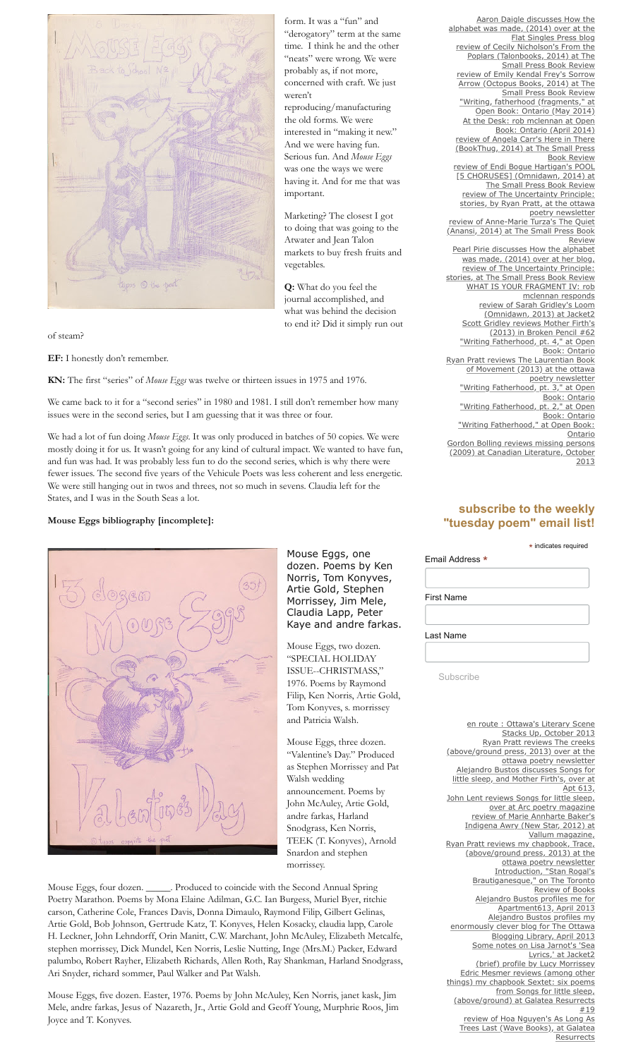

of steam?

**EF:** I honestly don't remember.

**KN:** The first "series" of *Mouse Eggs* was twelve or thirteen issues in 1975 and 1976.

We came back to it for a "second series" in 1980 and 1981. I still don't remember how many issues were in the second series, but I am guessing that it was three or four.

We had a lot of fun doing *Mouse Eggs*. It was only produced in batches of 50 copies. We were mostly doing it for us. It wasn't going for any kind of cultural impact. We wanted to have fun, and fun was had. It was probably less fun to do the second series, which is why there were fewer issues. The second five years of the Vehicule Poets was less coherent and less energetic. We were still hanging out in twos and threes, not so much in sevens. Claudia left for the States, and I was in the South Seas a lot.

#### **Mouse Eggs bibliography [incomplete]:**



Mouse Eggs, one dozen. Poems by Ken Norris, Tom Konyves, Artie Gold, Stephen Morrissey, Jim Mele, Claudia Lapp, Peter Kaye and andre farkas.

form. It was a "fun" and

the old forms. We were

And we were having fun.

was one the ways we were

weren't

"neats" were wrong. We were

Mouse Eggs, two dozen. "SPECIAL HOLIDAY ISSUE--CHRISTMASS," 1976. Poems by Raymond Filip, Ken Norris, Artie Gold, Tom Konyves, s. morrissey and Patricia Walsh.

Mouse Eggs, three dozen. "Valentine's Day." Produced as Stephen Morrissey and Pat Walsh wedding announcement. Poems by John McAuley, Artie Gold, andre farkas, Harland Snodgrass, Ken Norris, TEEK (T. Konyves), Arnold Snardon and stephen morrissey.

Mouse Eggs, four dozen. \_\_\_\_\_. Produced to coincide with the Second Annual Spring Poetry Marathon. Poems by Mona Elaine Adilman, G.C. Ian Burgess, Muriel Byer, ritchie carson, Catherine Cole, Frances Davis, Donna Dimaulo, Raymond Filip, Gilbert Gelinas, Artie Gold, Bob Johnson, Gertrude Katz, T. Konyves, Helen Kosacky, claudia lapp, Carole H. Leckner, John Lehndorff, Orin Manitt, C.W. Marchant, John McAuley, Elizabeth Metcalfe, stephen morrissey, Dick Mundel, Ken Norris, Leslie Nutting, Inge (Mrs.M.) Packer, Edward palumbo, Robert Rayher, Elizabeth Richards, Allen Roth, Ray Shankman, Harland Snodgrass, Ari Snyder, richard sommer, Paul Walker and Pat Walsh.

Mouse Eggs, five dozen. Easter, 1976. Poems by John McAuley, Ken Norris, janet kask, Jim Mele, andre farkas, Jesus of Nazareth, Jr., Artie Gold and Geoff Young, Murphrie Roos, Jim Joyce and T. Konyves.

Aaron Daigle discusses How the [alphabet was made, \(2014\) over at the](http://flatsinglespress.blogspot.ca/2014/06/scaling-letters-ag-review.html) Flat Singles Press blog [review of Cecily Nicholson's From the](http://thesmallpressbookreview.blogspot.ca/2014/05/review-of-cecily-nicholsons-from-poplars.html) Poplars (Talonbooks, 2014) at The Small Press Book Review [review of Emily Kendal Frey's Sorrow](http://thesmallpressbookreview.blogspot.ca/2014/05/review-of-emily-kendal-freys-sorrow.html) Arrow (Octopus Books, 2014) at The Small Press Book Review ["Writing, fatherhood \(fragments," at](http://openbookontario.com/news/writing_fatherhood_fragments_0) Open Book: Ontario (May 2014) [At the Desk: rob mclennan at Open](http://openbookontario.com/news/desk_rob_mclennan) Book: Ontario (April 2014) [review of Angela Carr's Here in There](http://thesmallpressbookreview.blogspot.ca/2014/04/review-of-angela-carrs-here-in-there.html) (BookThug, 2014) at The Small Press Book Review [review of Endi Bogue Hartigan's POOL](http://thesmallpressbookreview.blogspot.ca/2014/04/review-of-endi-bogue-hartigans-pool-5.html) [5 CHORUSES] (Omnidawn, 2014) at The Small Press Book Review review of The Uncertainty Principle: [stories, by Ryan Pratt, at the ottawa](http://www.ottawapoetry.blogspot.ca/2014/04/recent-reads-uncertainty-principle.html) poetry newsletter review of Anne-Marie Turza's The Quiet [\(Anansi, 2014\) at The Small Press Book](http://thesmallpressbookreview.blogspot.ca/2014/04/review-of-anne-marie-turzas-quiet.html) Review [Pearl Pirie discusses How the alphabet](http://pagehalffull.com/pesbo/2014/03/22/on-fragments/) was made, (2014) over at her blog, review of The Uncertainty Principle: [stories, at The Small Press Book Review](http://thesmallpressbookreview.blogspot.ca/2014/03/review-of-rob-mclennans-uncertainty.html) [WHAT IS YOUR FRAGMENT IV: rob](http://jenniferkdick.blogspot.fr/2014/03/what-is-your-fragment-iv-rob-mclennan.html) mclennan responds [review of Sarah Gridley's Loom](http://jacket2.org/reviews/quiet-demands) (Omnidawn, 2013) at Jacket2 [Scott Gridley reviews Mother Firth's](http://www.robmclennan.blogspot.ca/2014/02/scott-bryson-reviews-my-chapbook-mother.html) (2013) in Broken Pencil #62 ["Writing Fatherhood, pt. 4," at Open](http://openbookontario.com/news/writing_fatherhood_part_four) Book: Ontario [Ryan Pratt reviews The Laurentian Book](http://www.ottawapoetry.blogspot.ca/2013/11/recent-reads-marcus-mccann-and.html) of Movement (2013) at the ottawa poetry newsletter ["Writing Fatherhood, pt. 3," at Open](http://www.openbookontario.com/news/writing_fatherhood_pt_3) Book: Ontario ["Writing Fatherhood, pt. 2," at Open](http://openbookontario.com/news/writing_fatherhood_pt_2) Book: Ontario ["Writing Fatherhood," at Open Book:](http://www.openbookontario.com/news/writing_fatherhood) **Ontario** [Gordon Bolling reviews missing persons](http://canlit.ca/reviews/secret_lives) (2009) at Canadian Literature, October

**subscribe to the weekly "tuesday poem" email list!**

2013

|                   | * indicates required |
|-------------------|----------------------|
| Email Address *   |                      |
|                   |                      |
| <b>First Name</b> |                      |
|                   |                      |
| Last Name         |                      |

Subscribe

[en route : Ottawa's Literary Scene](http://enroute.aircanada.com/en/articles/ottawa-s-literary-scene-stacks-up) Stacks Up, October 2013 Ryan Pratt reviews The creeks [\(above/ground press, 2013\) over at the](http://www.ottawapoetry.blogspot.ca/2013/09/recent-reads-rosmarie-waldrop-and-rob.html) ottawa poetry newsletter Alejandro Bustos discusses Songs for [little sleep, and Mother Firth's, over at](http://apt613.ca/write-on-ottawa-new-poetry-collections-by-sonia-saikaley-and-rob-mclennan/) Apt 613, [John Lent reviews Songs for little sleep,](http://arcpoetry.ca/?p=7197) over at Arc poetry magazine review of Marie Annharte Baker's [Indigena Awry \(New Star, 2012\) at](http://www.vallummag.com/Review_rob_mclennan.html) Vallum magazine, [Ryan Pratt reviews my chapbook, Trace,](http://ottawapoetry.blogspot.ca/2013/05/recent-reads-rob-mclennan-and-joshua.html) (above/ground press, 2013) at the ottawa poetry newsletter Introduction, "Stan Rogal's [Brautiganesque," on The Toronto](http://www.torontoreviewofbooks.com/2013/04/stan-rogals-brautiganesqe/) Review of Books [Alejandro Bustos profiles me for](http://apt613.ca/tour-de-blogosphere-rob-mclennan-ottawas-literary-treasure/) Apartment613, April 2013 Alejandro Bustos profiles my [enormously clever blog for The Ottawa](http://ottawabloglib.blogspot.ca/2013/04/blog-review-rob-mclennans-blog.html) Blogging Library, April 2013 [Some notes on Lisa Jarnot's 'Sea](http://jacket2.org/article/some-notes-lisa-jarnots-sea-lyrics) Lyrics,' at Jacket2 [\(brief\) profile by Lucy Morrissey](http://onpaperottawa.wordpress.com/2013/02/08/rob-mclennan-the-writer-editor-and-publisher/) Edric Mesmer reviews (among other [things\) my chapbook Sextet: six poems](http://galatearesurrection19.blogspot.ca/2012/12/publications-editedby-brian-ang-rae.html) from Songs for little sleep, (above/ground) at Galatea Resurrects #19 review of Hoa Nguyen's As Long As [Trees Last \(Wave Books\), at Galatea](http://galatearesurrection19.blogspot.ca/2012/12/as-long-as-trees-last-by-hoa-nguyen.html) **Resurrects**